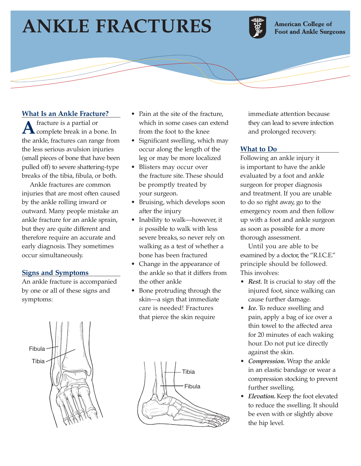# **ANKLE FRACTURES**



**American College of Foot and Ankle Surgeons** 

## **What Is an Ankle Fracture?**

A fracture is a partial or<br>
complete break in a bone. In the ankle, fractures can range from the less serious avulsion injuries (small pieces of bone that have been pulled off) to severe shattering-type breaks of the tibia, fibula, or both.

Ankle fractures are common injuries that are most often caused by the ankle rolling inward or outward. Many people mistake an ankle fracture for an ankle sprain, but they are quite different and therefore require an accurate and early diagnosis. They sometimes occur simultaneously.

#### **Signs and Symptoms**

An ankle fracture is accompanied by one or all of these signs and symptoms:



- Pain at the site of the fracture. which in some cases can extend from the foot to the knee
- Significant swelling, which may occur along the length of the leg or may be more localized
- Blisters may occur over the fracture site. These should be promptly treated by your surgeon.
- Bruising, which develops soon after the injury
- Inability to walk—however, it *is* possible to walk with less severe breaks, so never rely on walking as a test of whether a bone has been fractured
- Change in the appearance of the ankle so that it differs from the other ankle
- Bone protruding through the skin—a sign that immediate care is needed! Fractures that pierce the skin require



immediate attention because they can lead to severe infection and prolonged recovery.

#### **What to Do**

Following an ankle injury it is important to have the ankle evaluated by a foot and ankle surgeon for proper diagnosis and treatment. If you are unable to do so right away, go to the emergency room and then follow up with a foot and ankle surgeon as soon as possible for a more thorough assessment.

Until you are able to be examined by a doctor, the "R.I.C.E." principle should be followed. This involves:

- *Rest.* It is crucial to stay off the injured foot, since walking can cause further damage.
- *Ice.* To reduce swelling and pain, apply a bag of ice over a thin towel to the affected area for 20 minutes of each waking hour. Do not put ice directly against the skin.
- *Compression.* Wrap the ankle in an elastic bandage or wear a compression stocking to prevent further swelling.
- *Elevation.* Keep the foot elevated to reduce the swelling. It should be even with or slightly above the hip level.